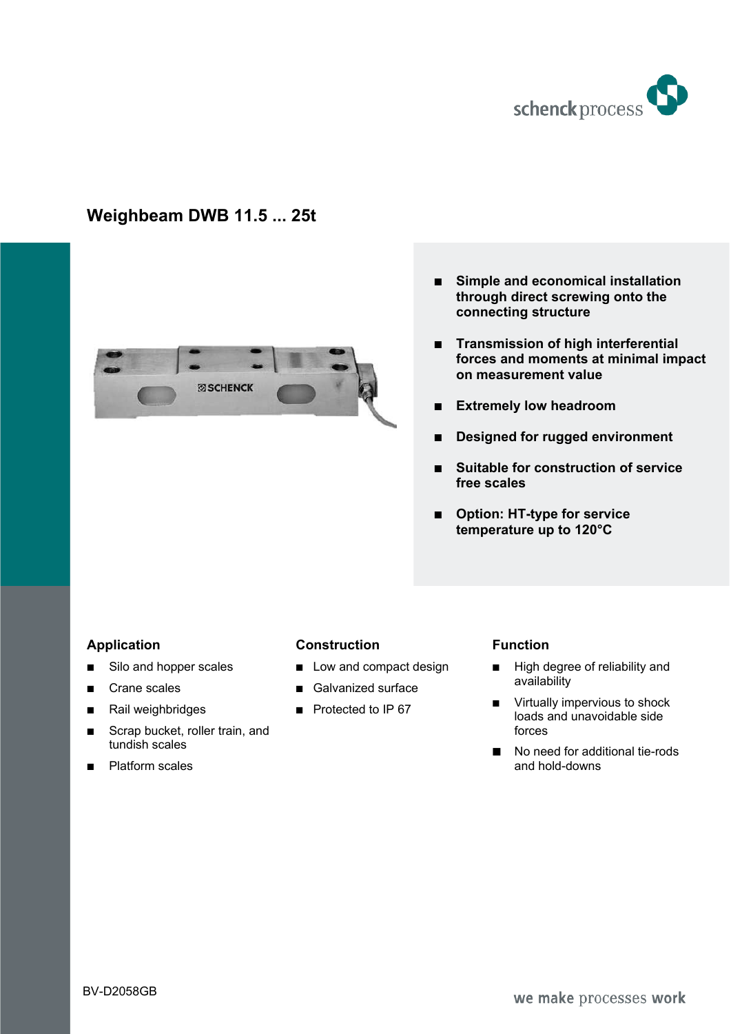

# **Weighbeam DWB 11.5 ... 25t**



- $\blacksquare$  Simple and economical installation **through direct screwing onto the connecting structure**
- **FRANSHISSION OF high interferential forces and moments at minimal impact on measurement value**
- **Extremely low headroom**
- **E** Designed for rugged environment
- % **Suitable for construction of service free scales**
- Option: HT-type for service **temperature up to 120°C**

# **Application**

- Silo and hopper scales
- Crane scales
- Rail weighbridges
- Scrap bucket, roller train, and tundish scales
- $\blacksquare$  Platform scales

### **Construction**

- $\Box$  Low and compact design
- Galvanized surface
- $\blacksquare$  Protected to IP 67

# **Function**

- **High degree of reliability and** availability
- $\blacksquare$  Virtually impervious to shock loads and unavoidable side forces
- $\blacksquare$  No need for additional tie-rods and hold-downs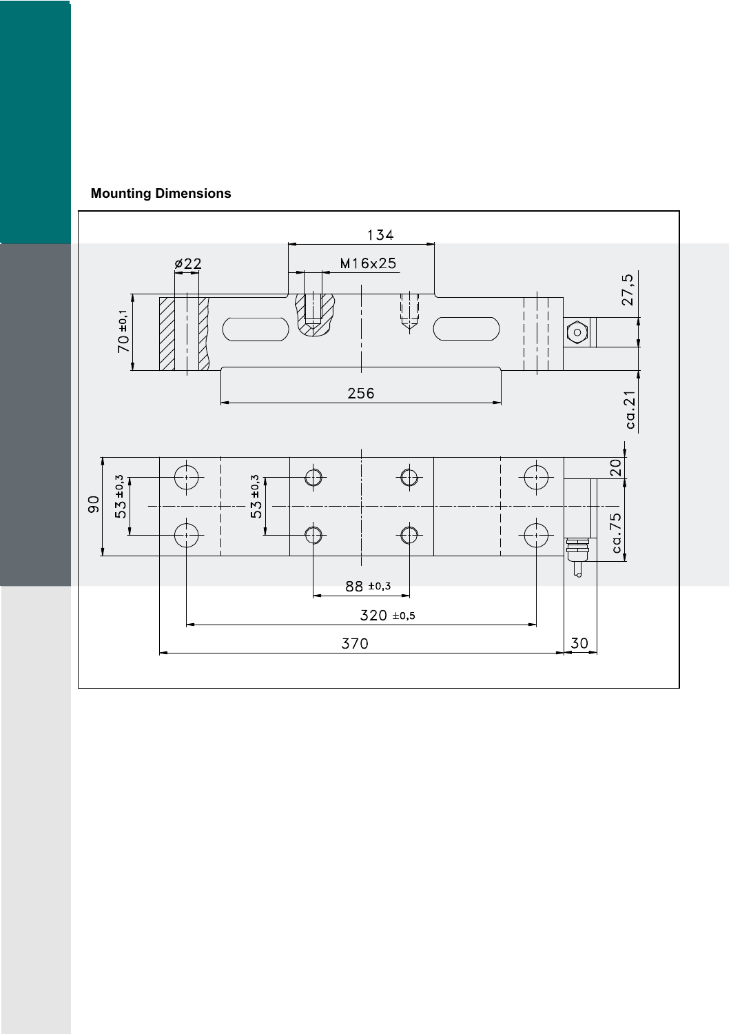

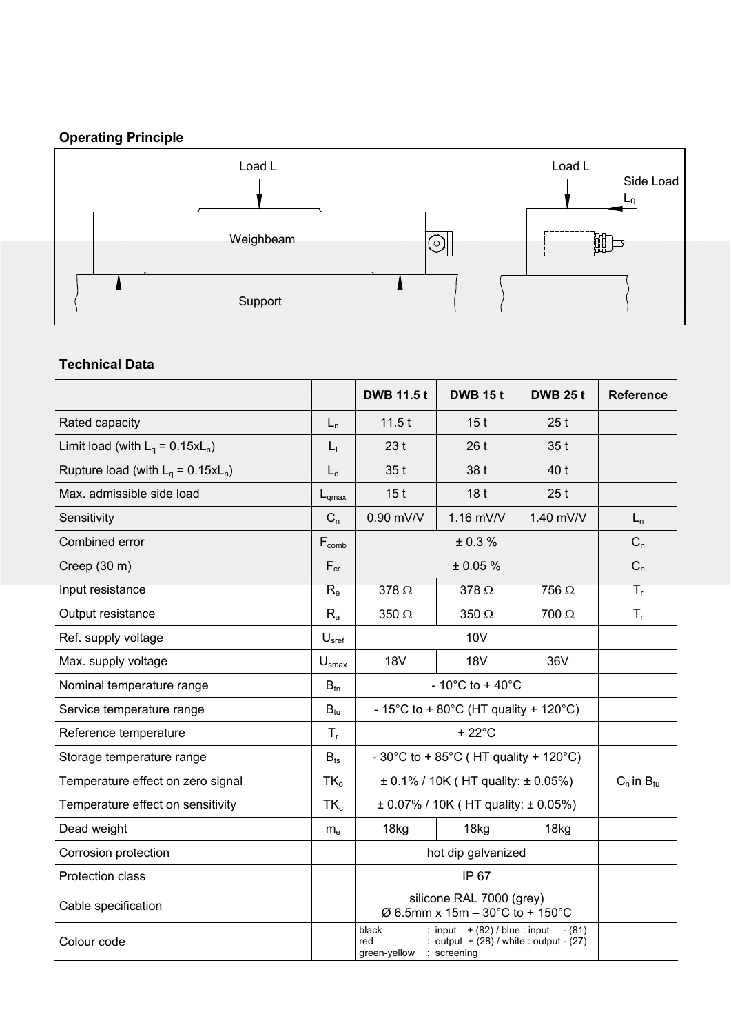# **Operating Principle**



# **Technical Data**

|                                       |                                                         | <b>DWB 11.5t</b>                                                                                                            | <b>DWB 15t</b>                              | <b>DWB 25 t</b> | <b>Reference</b> |  |  |
|---------------------------------------|---------------------------------------------------------|-----------------------------------------------------------------------------------------------------------------------------|---------------------------------------------|-----------------|------------------|--|--|
| Rated capacity                        | $L_n$                                                   | 11.5t                                                                                                                       | 15 <sub>t</sub><br>25t                      |                 |                  |  |  |
| Limit load (with $L_q = 0.15xL_n$ )   | $L_1$                                                   | 23t                                                                                                                         | 26t<br>35t                                  |                 |                  |  |  |
| Rupture load (with $L_q = 0.15xL_n$ ) | $L_d$                                                   | 35t                                                                                                                         | 40 t<br>38 t                                |                 |                  |  |  |
| Max. admissible side load             | $L_{qmax}$                                              | 15 <sub>t</sub>                                                                                                             | 18 <sub>t</sub><br>25t                      |                 |                  |  |  |
| Sensitivity                           | $C_n$                                                   | 0.90 mV/V                                                                                                                   | 1.16 mV/V<br>1.40 mV/V                      |                 | $L_n$            |  |  |
| Combined error                        | $F_{comb}$                                              |                                                                                                                             | $C_n$                                       |                 |                  |  |  |
| Creep (30 m)                          | $F_{cr}$                                                |                                                                                                                             | ± 0.05 %                                    |                 | $C_n$            |  |  |
| Input resistance                      | $R_{e}$<br>$378 \Omega$<br>378 $\Omega$<br>$756 \Omega$ |                                                                                                                             |                                             |                 |                  |  |  |
| Output resistance                     | $R_{a}$                                                 | $350 \Omega$                                                                                                                | $350 \Omega$                                | 700 Ω           | $T_{r}$          |  |  |
| Ref. supply voltage                   | U <sub>sref</sub>                                       |                                                                                                                             |                                             |                 |                  |  |  |
| Max. supply voltage                   | $U_{\text{smax}}$                                       | <b>18V</b>                                                                                                                  | <b>18V</b>                                  | 36V             |                  |  |  |
| Nominal temperature range             | $-10^{\circ}$ C to + 40 $^{\circ}$ C                    |                                                                                                                             |                                             |                 |                  |  |  |
| Service temperature range             | $B_{tu}$                                                | - 15°C to + 80°C (HT quality + 120°C)                                                                                       |                                             |                 |                  |  |  |
| Reference temperature                 | $T_{\rm r}$                                             |                                                                                                                             |                                             |                 |                  |  |  |
| Storage temperature range             | $B_{ts}$                                                | - 30°C to + 85°C (HT quality + 120°C)                                                                                       |                                             |                 |                  |  |  |
| Temperature effect on zero signal     | $TK_{o}$                                                |                                                                                                                             | $\pm$ 0.1% / 10K (HT quality: $\pm$ 0.05%)  |                 |                  |  |  |
| Temperature effect on sensitivity     | $TK_{c}$                                                |                                                                                                                             | $\pm$ 0.07% / 10K (HT quality: $\pm$ 0.05%) |                 |                  |  |  |
| Dead weight                           | m <sub>e</sub>                                          | 18kg<br>18kg                                                                                                                |                                             | 18kg            |                  |  |  |
| Corrosion protection                  |                                                         | hot dip galvanized                                                                                                          |                                             |                 |                  |  |  |
| Protection class                      |                                                         |                                                                                                                             |                                             |                 |                  |  |  |
| Cable specification                   |                                                         | silicone RAL 7000 (grey)<br>$\varnothing$ 6.5mm x 15m - 30°C to + 150°C                                                     |                                             |                 |                  |  |  |
| Colour code                           |                                                         | : input $+$ (82) / blue : input<br>black<br>: output $+$ (28) / white : output - (27)<br>red<br>green-yellow<br>: screening |                                             |                 |                  |  |  |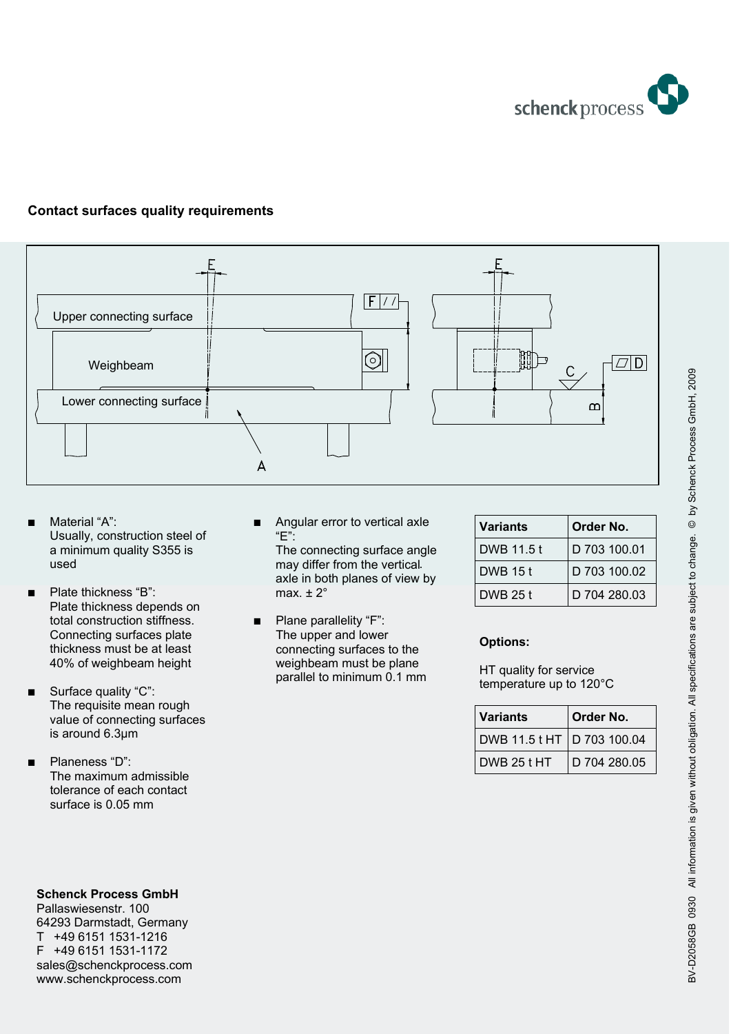

# **Contact surfaces quality requirements**



- Material "A": Usually, construction steel of a minimum quality S355 is
- Plate thickness "B": Plate thickness depends on total construction stiffness. Connecting surfaces plate thickness must be at least 40% of weighbeam height
- Surface quality "C": The requisite mean rough value of connecting surfaces is around 6.3µm
- Planeness "D": The maximum admissible tolerance of each contact surface is 0.05 mm

Angular error to vertical axle "E":

used . The contract of the contract of the vertical and the vertical intervention of the vertical intervention The connecting surface angle axle in both planes of view by max.  $\pm 2^{\circ}$ 

> Plane parallelity "F": The upper and lower connecting surfaces to the weighbeam must be plane parallel to minimum 0.1 mm

| <b>Variants</b> | Order No.    |
|-----------------|--------------|
| DWB 11.5 t      | D 703 100.01 |
| <b>DWB 15t</b>  | D 703 100.02 |
| DWB 25 t        | D 704 280.03 |

### **Options:**

HT quality for service temperature up to 120°C

| <b>Variants</b>            | Order No.    |
|----------------------------|--------------|
| DWB 11.5 t HT D 703 100.04 |              |
| DWB 25 t HT                | D 704 280.05 |

**Schenck Process GmbH** 

Pallaswiesenstr. 100 64293 Darmstadt, Germany T +49 6151 1531-1216 F +49 6151 1531-1172 sales@schenckprocess.com www.schenckprocess.com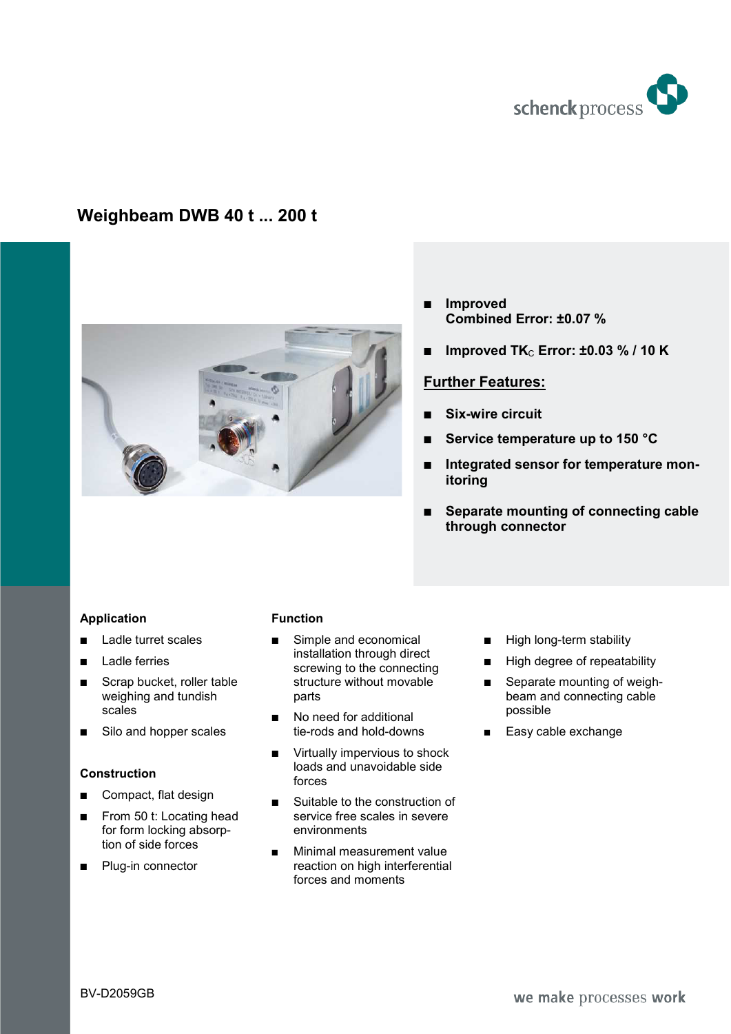

# **Weighbeam DWB 40 t ... 200 t**



- $\blacksquare$  Improved **Combined Error: ±0.07 %**
- **Improved TK<sub>C</sub> Error: ±0.03 % / 10 K**

# **Further Features:**

- % **Six-wire circuit**
- % **Service temperature up to 150 °C**
- $\blacksquare$  Integrated sensor for temperature mon**itoring**
- Separate mounting of connecting cable **through connector**

# **Application**

- **E** Ladle turret scales
- **Ladle ferries**
- $Scrab$  bucket, roller table weighing and tundish scales
- Silo and hopper scales

### **Construction**

- Compact, flat design
- From 50 t: Locating head for form locking absorption of side forces
- **Plug-in connector**

#### **Function**

- Simple and economical installation through direct screwing to the connecting structure without movable parts
- No need for additional tie-rods and hold-downs
- $\blacksquare$  Virtually impervious to shock loads and unavoidable side forces
- $\blacksquare$  Suitable to the construction of service free scales in severe environments
- **Minimal measurement value** reaction on high interferential forces and moments
- High long-term stability
- High degree of repeatability
- $\blacksquare$  Separate mounting of weighbeam and connecting cable possible
- Easy cable exchange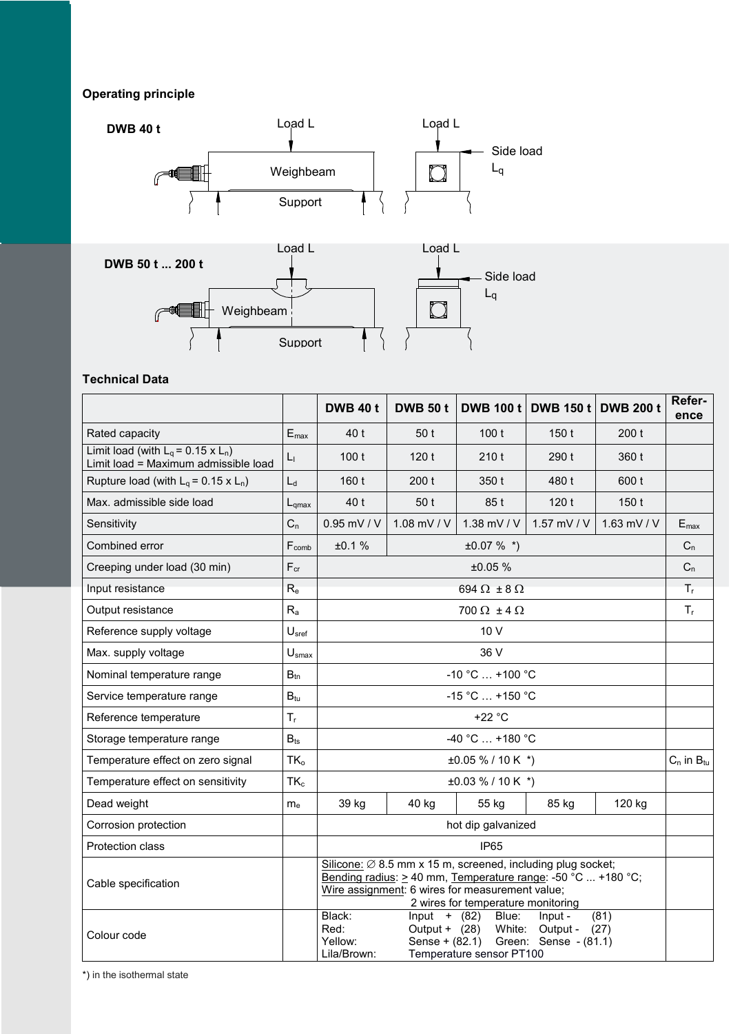# **Operating principle**





### **Technical Data**

|                                                                                 |                             | <b>DWB 40 t</b>                                                                                                                                                                                                                  | <b>DWB 50 t</b>           | <b>DWB 100 t</b>          | <b>DWB 150 t</b> | <b>DWB 200 t</b> | Refer-<br>ence   |  |  |
|---------------------------------------------------------------------------------|-----------------------------|----------------------------------------------------------------------------------------------------------------------------------------------------------------------------------------------------------------------------------|---------------------------|---------------------------|------------------|------------------|------------------|--|--|
| Rated capacity                                                                  | $\mathsf{E}_{\mathsf{max}}$ | 40 t                                                                                                                                                                                                                             | 50 t                      | 100t                      | 150t             | 200t             |                  |  |  |
| Limit load (with $L_q$ = 0.15 x $L_n$ )<br>Limit load = Maximum admissible load | $L_{1}$                     | 100t                                                                                                                                                                                                                             | 120t                      | 210t                      | 290 t            | 360 t            |                  |  |  |
| Rupture load (with $L_q = 0.15 \times L_n$ )                                    | $L_d$                       | 160 t                                                                                                                                                                                                                            | 200t                      | 350 t                     | 480 t            | 600 t            |                  |  |  |
| Max. admissible side load                                                       | $L_{\rm amax}$              | 40 t                                                                                                                                                                                                                             | 50 t                      | 85 t                      | 120t             | 150t             |                  |  |  |
| Sensitivity                                                                     | $C_n$                       | 0.95 mV / V                                                                                                                                                                                                                      | 1.08 mV / V               | 1.38 mV / $V$             | 1.57 mV / V      | 1.63 mV / $V$    | $E_{\text{max}}$ |  |  |
| Combined error                                                                  | $F_{comb}$                  | ±0.1%                                                                                                                                                                                                                            |                           | $±0.07 \%$ *)             |                  |                  | $C_n$            |  |  |
| Creeping under load (30 min)                                                    | $F_{cr}$                    |                                                                                                                                                                                                                                  |                           | ±0.05%                    |                  |                  | $C_n$            |  |  |
| Input resistance                                                                | $R_{e}$                     |                                                                                                                                                                                                                                  |                           | 694 $\Omega$ ± 8 $\Omega$ |                  |                  | $T_{r}$          |  |  |
| Output resistance                                                               | $R_{a}$                     |                                                                                                                                                                                                                                  | 700 $\Omega$ ± 4 $\Omega$ |                           |                  |                  |                  |  |  |
| Reference supply voltage                                                        | U <sub>sref</sub>           | 10 V                                                                                                                                                                                                                             |                           |                           |                  |                  |                  |  |  |
| Max. supply voltage                                                             | U <sub>smax</sub>           | 36 V                                                                                                                                                                                                                             |                           |                           |                  |                  |                  |  |  |
| Nominal temperature range                                                       | $B_{tn}$                    | $-10 °C  +100 °C$                                                                                                                                                                                                                |                           |                           |                  |                  |                  |  |  |
| Service temperature range                                                       | $B_{tu}$                    | $-15 °C$ +150 °C                                                                                                                                                                                                                 |                           |                           |                  |                  |                  |  |  |
| Reference temperature                                                           | $T_{r}$                     | $+22 °C$                                                                                                                                                                                                                         |                           |                           |                  |                  |                  |  |  |
| Storage temperature range                                                       | $B_{ts}$                    | $-40 °C  +180 °C$                                                                                                                                                                                                                |                           |                           |                  |                  |                  |  |  |
| Temperature effect on zero signal                                               | TK <sub>o</sub>             | $\pm 0.05 \% / 10 K$ *)<br>$C_n$ in $B_{tu}$                                                                                                                                                                                     |                           |                           |                  |                  |                  |  |  |
| Temperature effect on sensitivity                                               | $TK_c$                      | $\pm 0.03 \% / 10 K$ *)                                                                                                                                                                                                          |                           |                           |                  |                  |                  |  |  |
| Dead weight                                                                     | m <sub>e</sub>              | 39 kg                                                                                                                                                                                                                            | 40 kg                     | 55 kg                     | 85 kg            | 120 kg           |                  |  |  |
| Corrosion protection                                                            |                             | hot dip galvanized                                                                                                                                                                                                               |                           |                           |                  |                  |                  |  |  |
| Protection class                                                                |                             | <b>IP65</b>                                                                                                                                                                                                                      |                           |                           |                  |                  |                  |  |  |
| Cable specification                                                             |                             | Silicone: $\varnothing$ 8.5 mm x 15 m, screened, including plug socket;<br>Bending radius: > 40 mm, Temperature range: -50 °C  +180 °C;<br>Wire assignment: 6 wires for measurement value;<br>2 wires for temperature monitoring |                           |                           |                  |                  |                  |  |  |
| Colour code                                                                     |                             | Black:<br>(81)<br>Input $+$ (82)<br>Blue:<br>Input -<br>White: Output -<br>Red:<br>Output + $(28)$<br>(27)<br>Sense + (82.1) Green: Sense - (81.1)<br>Yellow:<br>Temperature sensor PT100<br>Lila/Brown:                         |                           |                           |                  |                  |                  |  |  |

\*) in the isothermal state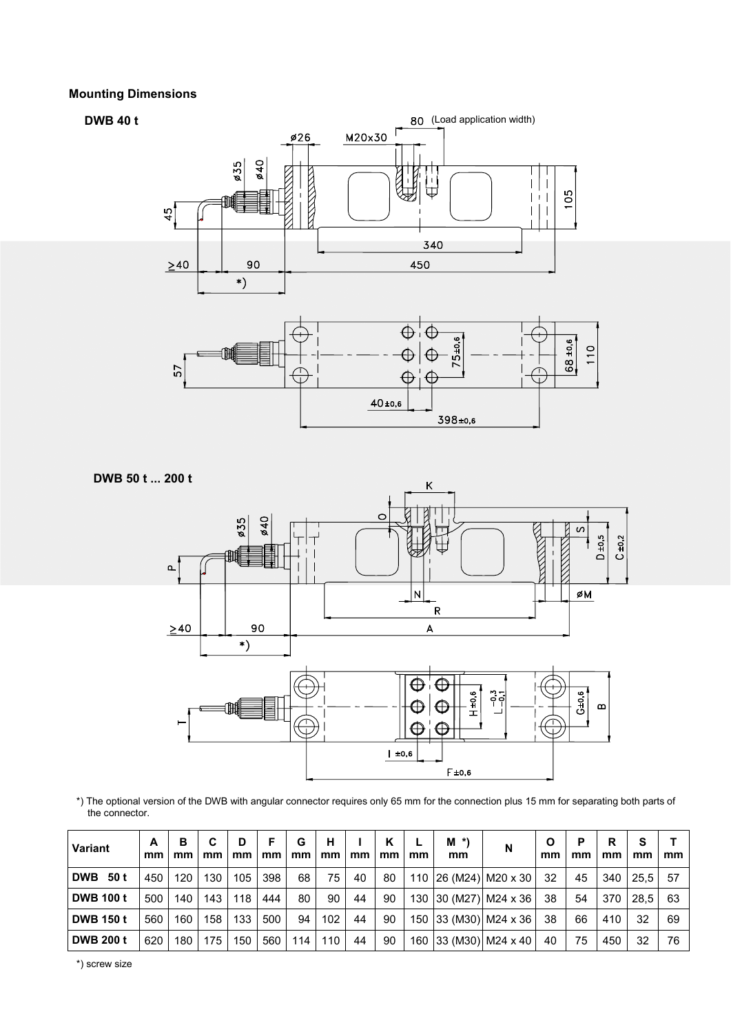### **Mounting Dimensions**





\*) The optional version of the DWB with angular connector requires only 65 mm for the connection plus 15 mm for separating both parts of the connector.

| Variant            | A<br>mm | в<br>mm | С<br>mm | D<br>mm | F<br>mm | G<br>mm | н<br>mm | mm | K<br>mm | mm | $M^*$<br>mm | N                     | Ο<br>mm | P<br>mm | R<br>mm | s<br>mm     | mm |
|--------------------|---------|---------|---------|---------|---------|---------|---------|----|---------|----|-------------|-----------------------|---------|---------|---------|-------------|----|
| <b>DWB</b><br>50 t | 450     | 120     | 130     | 105     | 398     | 68      | 75      | 40 | 80      |    |             | 110 26 (M24) M20 x 30 | 32      | 45      |         | 340 25.5    | 57 |
| <b>DWB 100 t</b>   | 500     | 140     | 143     | 118     | 444     | 80      | 90      | 44 | 90      |    |             | 130 30 (M27) M24 x 36 | 38      | 54      | 370     | <b>28.5</b> | 63 |
| <b>DWB 150 t</b>   | 560     | 160     | 158     | 133     | 500     | 94      | 102     | 44 | 90      |    |             | 150 33 (M30) M24 x 36 | 38      | 66      | 410     | 32          | 69 |
| <b>DWB 200 t</b>   | 620     | 180     | 175     | 150     | 560     | 114     | 110     | 44 | 90      |    |             | 160 33 (M30) M24 x 40 | 40      | 75      | 450     | 32          | 76 |

\*) screw size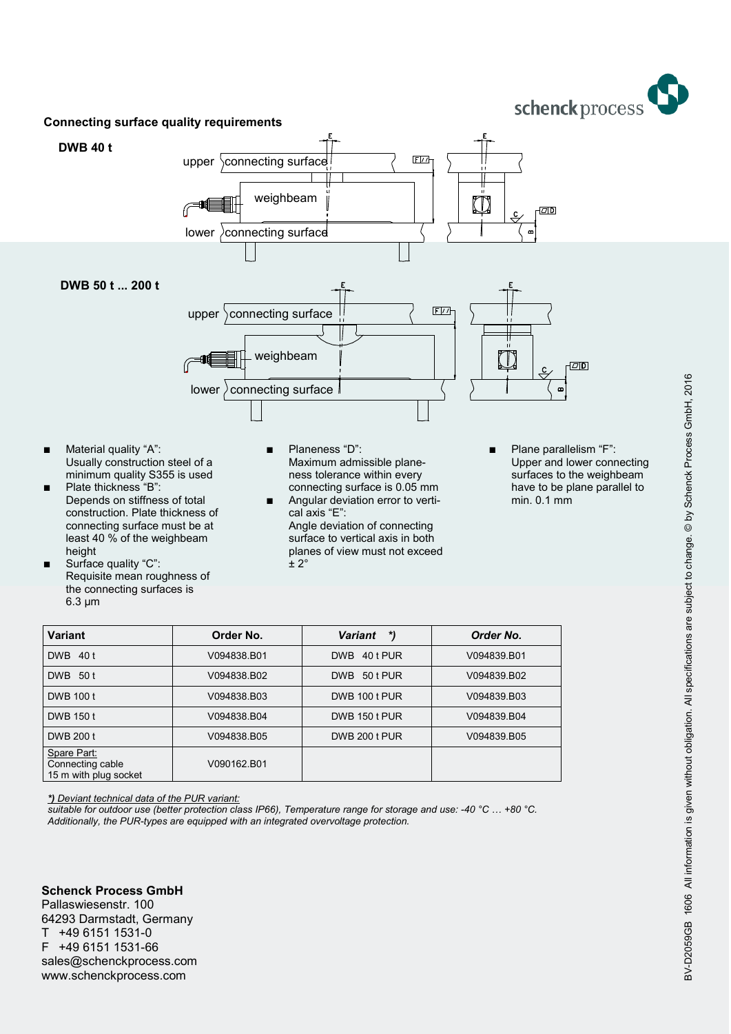schenck process



- Usually construction steel of a minimum quality S355 is used
- Plate thickness "B": Depends on stiffness of total construction. Plate thickness of connecting surface must be at least 40 % of the weighbeam height
- Surface quality "C": Requisite mean roughness of the connecting surfaces is 6.3 μm
- Maximum admissible planeness tolerance within every connecting surface is 0.05 mm
- Angular deviation error to vertical axis "E": Angle deviation of connecting surface to vertical axis in both planes of view must not exceed  $± 2°$
- Upper and lower connecting surfaces to the weighbeam have to be plane parallel to min. 0.1 mm

| Variant                                                  | Order No.   | *)<br><b>Variant</b>   | Order No.   |
|----------------------------------------------------------|-------------|------------------------|-------------|
| <b>DWB</b><br>40 t                                       | V094838.B01 | <b>DWB</b><br>40 t PUR | V094839.B01 |
| <b>DWB</b><br>50t                                        | V094838.B02 | <b>DWB</b><br>50 t PUR | V094839.B02 |
| DWB 100 t                                                | V094838.B03 | DWB 100 t PUR          | V094839.B03 |
| DWB 150 t                                                | V094838.B04 | DWB 150 t PUR          | V094839.B04 |
| DWB 200 t                                                | V094838.B05 | DWB 200 t PUR          | V094839.B05 |
| Spare Part:<br>Connecting cable<br>15 m with plug socket | V090162.B01 |                        |             |

*\*) Deviant technical data of the PUR variant:*

*suitable for outdoor use (better protection class IP66), Temperature range for storage and use: -40 °C … +80 °C. Additionally, the PUR-types are equipped with an integrated overvoltage protection.*

**Schenck Process GmbH** Pallaswiesenstr. 100 64293 Darmstadt, Germany T +49 6151 1531-0 F +49 6151 1531-66 sales@schenckprocess.com www.schenckprocess.com